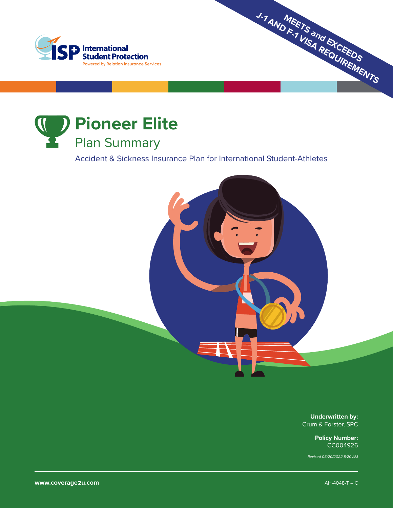



Accident & Sickness Insurance Plan for International Student-Athletes



**Underwritten by:** Crum & Forster, SPC

**MEETS and EXCEEDS J-1 AND F-1 VISA REQUIREMENTS**

**Policy Number:** CC004926

*Revised 05/20/2022 8:20 AM*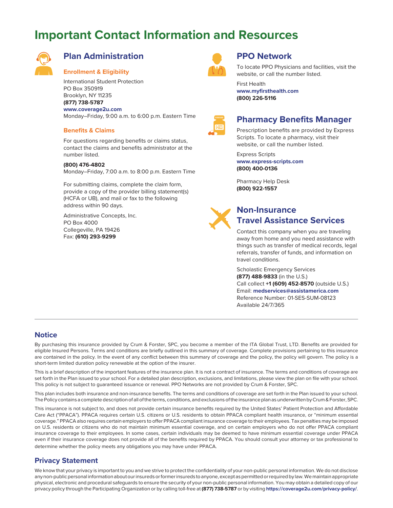## **Important Contact Information and Resources**



### **Plan Administration**

#### **Enrollment & Eligibility**

International Student Protection PO Box 350919 Brooklyn, NY 11235 **(877) 738-5787 www.coverage2u.com** Monday–Friday, 9:00 a.m. to 6:00 p.m. Eastern Time

#### **Benefits & Claims**

For questions regarding benefits or claims status, contact the claims and benefits administrator at the number listed.

#### **(800) 476-4802**

Monday–Friday, 7:00 a.m. to 8:00 p.m. Eastern Time

For submitting claims, complete the claim form, provide a copy of the provider billing statement(s) (HCFA or UB), and mail or fax to the following address within 90 days.

Administrative Concepts, Inc. PO Box 4000 Collegeville, PA 19426 Fax: **(610) 293-9299**



#### **PPO Network**

To locate PPO Physicians and facilities, visit the website, or call the number listed.

First Health **www.myfirsthealth.com (800) 226-5116**



### **Pharmacy Benefits Manager**

Prescription benefits are provided by Express Scripts. To locate a pharmacy, visit their website, or call the number listed.

Express Scripts **www.express-scripts.com (800) 400-0136**

Pharmacy Help Desk **(800) 922-1557**



### **Non-Insurance Travel Assistance Services**

Contact this company when you are traveling away from home and you need assistance with things such as transfer of medical records, legal referrals, transfer of funds, and information on travel conditions.

Scholastic Emergency Services **(877) 488-9833** (in the U.S.) Call collect **+1 (609) 452-8570** (outside U.S.) Email: **medservices@assistamerica.com** Reference Number: 01-SES-SUM-08123 Available 24/7/365

#### **Notice**

By purchasing this insurance provided by Crum & Forster, SPC, you become a member of the ITA Global Trust, LTD. Benefits are provided for eligible Insured Persons. Terms and conditions are briefly outlined in this summary of coverage. Complete provisions pertaining to this insurance are contained in the policy. In the event of any conflict between this summary of coverage and the policy, the policy will govern. The policy is a short-term limited duration policy renewable at the option of the insurer.

This is a brief description of the important features of the insurance plan. It is not a contract of insurance. The terms and conditions of coverage are set forth in the Plan issued to your school. For a detailed plan description, exclusions, and limitations, please view the plan on file with your school. This policy is not subject to guaranteed issuance or renewal. PPO Networks are not provided by Crum & Forster, SPC.

This plan includes both insurance and non-insurance benefits. The terms and conditions of coverage are set forth in the Plan issued to your school. The Policy contains a complete description of all of the terms, conditions, and exclusions of the insurance plan as underwritten by Crum & Forster, SPC.

This insurance is not subject to, and does not provide certain insurance benefits required by the United States' Patient Protection and Affordable Care Act ("PPACA"). PPACA requires certain U.S. citizens or U.S. residents to obtain PPACA compliant health insurance, or "minimum essential coverage." PPACA also requires certain employers to offer PPACA compliant insurance coverage to their employees. Tax penalties may be imposed on U.S. residents or citizens who do not maintain minimum essential coverage, and on certain employers who do not offer PPACA compliant insurance coverage to their employees. In some cases, certain individuals may be deemed to have minimum essential coverage under PPACA even if their insurance coverage does not provide all of the benefits required by PPACA. You should consult your attorney or tax professional to determine whether the policy meets any obligations you may have under PPACA.

#### **Privacy Statement**

We know that your privacy is important to you and we strive to protect the confidentiality of your non-public personal information. We do not disclose any non-public personal information about our insureds or former insureds to anyone, except as permitted or required by law. We maintain appropriate physical, electronic and procedural safeguards to ensure the security of your non-public personal information. You may obtain a detailed copy of our privacy policy through the Participating Organization or by calling toll-free at **(877) 738-5787** or by visiting **https://coverage2u.com/privacy-policy/**.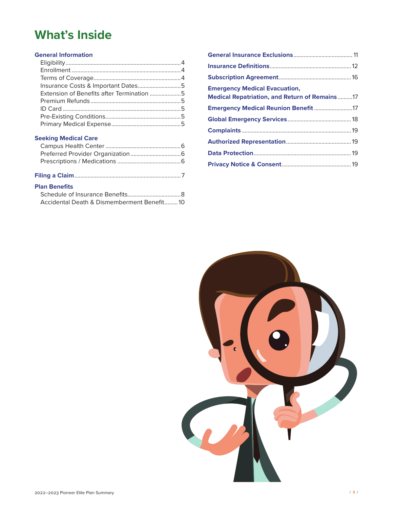# **What's Inside**

#### **General Information**

| Insurance Costs & Important Dates5        |  |
|-------------------------------------------|--|
| Extension of Benefits after Termination 5 |  |
|                                           |  |
|                                           |  |
|                                           |  |
|                                           |  |
|                                           |  |

#### **Seeking Medical Care**

| <b>Plan Benefits</b> |  |
|----------------------|--|

| Accidental Death & Dismemberment Benefit10 |  |
|--------------------------------------------|--|

| <b>Emergency Medical Evacuation,</b><br><b>Medical Repatriation, and Return of Remains 17</b> |  |
|-----------------------------------------------------------------------------------------------|--|
| Emergency Medical Reunion Benefit 17                                                          |  |
|                                                                                               |  |
|                                                                                               |  |
|                                                                                               |  |
|                                                                                               |  |
|                                                                                               |  |

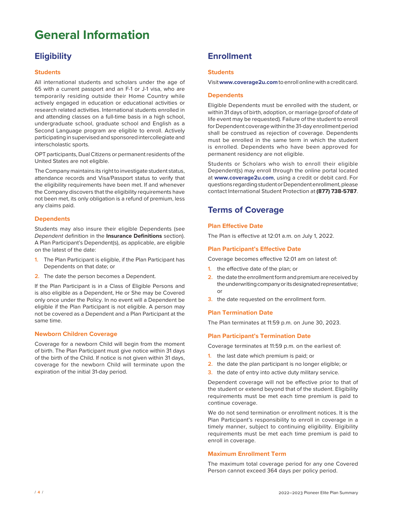# **General Information**

## **Eligibility**

#### **Students**

All international students and scholars under the age of 65 with a current passport and an F-1 or J-1 visa, who are temporarily residing outside their Home Country while actively engaged in education or educational activities or research related activities. International students enrolled in and attending classes on a full-time basis in a high school, undergraduate school, graduate school and English as a Second Language program are eligible to enroll. Actively participating in supervised and sponsored intercollegiate and interscholastic sports.

OPT participants, Dual Citizens or permanent residents of the United States are not eligible.

The Company maintains its right to investigate student status, attendance records and Visa/Passport status to verify that the eligibility requirements have been met. If and whenever the Company discovers that the eligibility requirements have not been met, its only obligation is a refund of premium, less any claims paid.

#### **Dependents**

Students may also insure their eligible Dependents (see *Dependent* definition in the **Insurance Definitions** section). A Plan Participant's Dependent(s), as applicable, are eligible on the latest of the date:

- **1.** The Plan Participant is eligible, if the Plan Participant has Dependents on that date; or
- **2.** The date the person becomes a Dependent.

If the Plan Participant is in a Class of Eligible Persons and is also eligible as a Dependent, He or She may be Covered only once under the Policy. In no event will a Dependent be eligible if the Plan Participant is not eligible. A person may not be covered as a Dependent and a Plan Participant at the same time.

#### **Newborn Children Coverage**

Coverage for a newborn Child will begin from the moment of birth. The Plan Participant must give notice within 31 days of the birth of the Child. If notice is not given within 31 days, coverage for the newborn Child will terminate upon the expiration of the initial 31-day period.

## **Enrollment**

#### **Students**

Visit **www.coverage2u.com** to enroll online with a credit card.

#### **Dependents**

Eligible Dependents must be enrolled with the student, or within 31 days of birth, adoption, or marriage (proof of date of life event may be requested). Failure of the student to enroll for Dependent coverage within the 31-day enrollment period shall be construed as rejection of coverage. Dependents must be enrolled in the same term in which the student is enrolled. Dependents who have been approved for permanent residency are not eligible.

Students or Scholars who wish to enroll their eligible Dependent(s) may enroll through the online portal located at **www.coverage2u.com**, using a credit or debit card. For questions regarding student or Dependent enrollment, please contact International Student Protection at **(877) 738-5787**.

### **Terms of Coverage**

#### **Plan Effective Date**

The Plan is effective at 12:01 a.m. on July 1, 2022.

#### **Plan Participant's Effective Date**

Coverage becomes effective 12:01 am on latest of:

- **1.** the effective date of the plan; or
- **2.** the date the enrollment form and premium are received by the underwriting company or its designated representative; or
- **3.** the date requested on the enrollment form.

#### **Plan Termination Date**

The Plan terminates at 11:59 p.m. on June 30, 2023.

#### **Plan Participant's Termination Date**

Coverage terminates at 11:59 p.m. on the earliest of:

- **1.** the last date which premium is paid; or
- **2.** the date the plan participant is no longer eligible; or
- **3.** the date of entry into active duty military service.

Dependent coverage will not be effective prior to that of the student or extend beyond that of the student. Eligibility requirements must be met each time premium is paid to continue coverage.

We do not send termination or enrollment notices. It is the Plan Participant's responsibility to enroll in coverage in a timely manner, subject to continuing eligibility. Eligibility requirements must be met each time premium is paid to enroll in coverage.

#### **Maximum Enrollment Term**

The maximum total coverage period for any one Covered Person cannot exceed 364 days per policy period.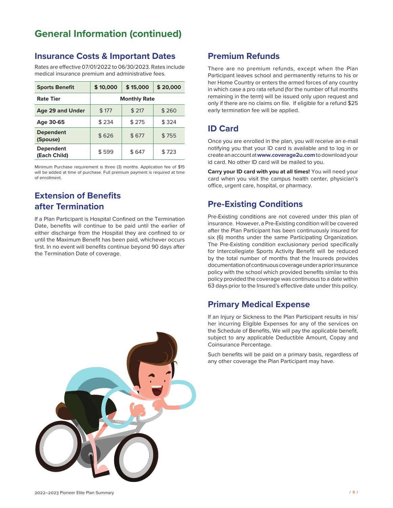## **General Information (continued)**

### **Insurance Costs & Important Dates**

Rates are effective 07/01/2022 to 06/30/2023. Rates include medical insurance premium and administrative fees.

| <b>Sports Benefit</b>            | \$10,000            | \$15,000 | \$20,000 |
|----------------------------------|---------------------|----------|----------|
| <b>Rate Tier</b>                 | <b>Monthly Rate</b> |          |          |
| Age 29 and Under                 | \$177               | \$217    | \$260    |
| Age 30-65                        | \$234               | \$275    | \$324    |
| <b>Dependent</b><br>(Spouse)     | \$626               | \$677    | \$755    |
| <b>Dependent</b><br>(Each Child) | \$599               | \$647    | \$723    |

Minimum Purchase requirement is three (3) months. Application fee of \$15 will be added at time of purchase. Full premium payment is required at time of enrollment.

## **Extension of Benefits after Termination**

If a Plan Participant is Hospital Confined on the Termination Date, benefits will continue to be paid until the earlier of either discharge from the Hospital they are confined to or until the Maximum Benefit has been paid, whichever occurs first. In no event will benefits continue beyond 90 days after the Termination Date of coverage.

### **Premium Refunds**

There are no premium refunds, except when the Plan Participant leaves school and permanently returns to his or her Home Country or enters the armed forces of any country in which case a pro rata refund (for the number of full months remaining in the term) will be issued only upon request and only if there are no claims on file. If eligible for a refund \$25 early termination fee will be applied.

### **ID Card**

Once you are enrolled in the plan, you will receive an e-mail notifying you that your ID card is available and to log in or create an account at **www.coverage2u.com** to download your id card. No other ID card will be mailed to you.

**Carry your ID card with you at all times!** You will need your card when you visit the campus health center, physician's office, urgent care, hospital, or pharmacy.

## **Pre-Existing Conditions**

Pre-Existing conditions are not covered under this plan of insurance. However, a Pre-Existing condition will be covered after the Plan Participant has been continuously insured for six (6) months under the same Participating Organization. The Pre-Existing condition exclusionary period specifically for Intercollegiate Sports Activity Benefit will be reduced by the total number of months that the Insureds provides documentation of continuous coverage under a prior insurance policy with the school which provided benefits similar to this policy provided the coverage was continuous to a date within 63 days prior to the Insured's effective date under this policy.

### **Primary Medical Expense**

If an Injury or Sickness to the Plan Participant results in his/ her incurring Eligible Expenses for any of the services on the Schedule of Benefits, We will pay the applicable benefit, subject to any applicable Deductible Amount, Copay and Coinsurance Percentage.

Such benefits will be paid on a primary basis, regardless of any other coverage the Plan Participant may have.

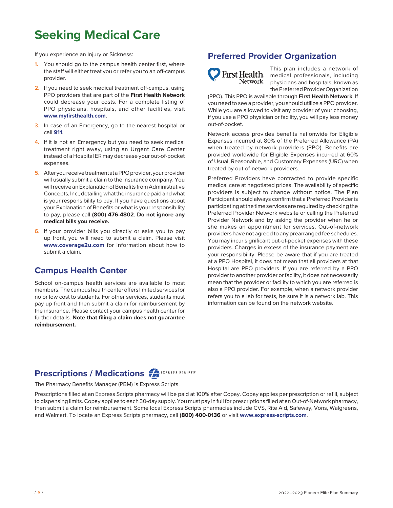# **Seeking Medical Care**

If you experience an Injury or Sickness:

- **1.** You should go to the campus health center first, where the staff will either treat you or refer you to an off-campus provider.
- **2.** If you need to seek medical treatment off-campus, using PPO providers that are part of the **First Health Network** could decrease your costs. For a complete listing of PPO physicians, hospitals, and other facilities, visit **www.myfirsthealth.com**.
- **3.** In case of an Emergency, go to the nearest hospital or call **911**.
- **4.** If it is not an Emergency but you need to seek medical treatment right away, using an Urgent Care Center instead of a Hospital ER may decrease your out-of-pocket expenses.
- **5.** After you receive treatment at a PPO provider, your provider will usually submit a claim to the insurance company. You will receive an Explanation of Benefits from Administrative Concepts, Inc., detailing what the insurance paid and what is your responsibility to pay. If you have questions about your Explanation of Benefits or what is your responsibility to pay, please call **(800) 476-4802**. **Do not ignore any medical bills you receive.**
- **6.** If your provider bills you directly or asks you to pay up front, you will need to submit a claim. Please visit **www.coverage2u.com** for information about how to submit a claim.

### **Campus Health Center**

School on-campus health services are available to most members. The campus health center offers limited services for no or low cost to students. For other services, students must pay up front and then submit a claim for reimbursement by the insurance. Please contact your campus health center for further details. **Note that filing a claim does not guarantee reimbursement.**

### **Preferred Provider Organization**



This plan includes a network of medical professionals, including physicians and hospitals, known as the Preferred Provider Organization

(PPO). This PPO is available through **First Health Network**. If you need to see a provider, you should utilize a PPO provider. While you are allowed to visit any provider of your choosing, if you use a PPO physician or facility, you will pay less money out-of-pocket.

Network access provides benefits nationwide for Eligible Expenses incurred at 80% of the Preferred Allowance (PA) when treated by network providers (PPO). Benefits are provided worldwide for Eligible Expenses incurred at 60% of Usual, Reasonable, and Customary Expenses (URC) when treated by out-of-network providers.

Preferred Providers have contracted to provide specific medical care at negotiated prices. The availability of specific providers is subject to change without notice. The Plan Participant should always confirm that a Preferred Provider is participating at the time services are required by checking the Preferred Provider Network website or calling the Preferred Provider Network and by asking the provider when he or she makes an appointment for services. Out-of-network providers have not agreed to any prearranged fee schedules. You may incur significant out-of-pocket expenses with these providers. Charges in excess of the insurance payment are your responsibility. Please be aware that if you are treated at a PPO Hospital, it does not mean that all providers at that Hospital are PPO providers. If you are referred by a PPO provider to another provider or facility, it does not necessarily mean that the provider or facility to which you are referred is also a PPO provider. For example, when a network provider refers you to a lab for tests, be sure it is a network lab. This information can be found on the network website.

## **Prescriptions / Medications**

The Pharmacy Benefits Manager (PBM) is Express Scripts.

Prescriptions filled at an Express Scripts pharmacy will be paid at 100% after Copay. Copay applies per prescription or refill, subject to dispensing limits. Copay applies to each 30-day supply. You must pay in full for prescriptions filled at an Out-of-Network pharmacy, then submit a claim for reimbursement. Some local Express Scripts pharmacies include CVS, Rite Aid, Safeway, Vons, Walgreens, and Walmart. To locate an Express Scripts pharmacy, call **(800) 400-0136** or visit **www.express-scripts.com**.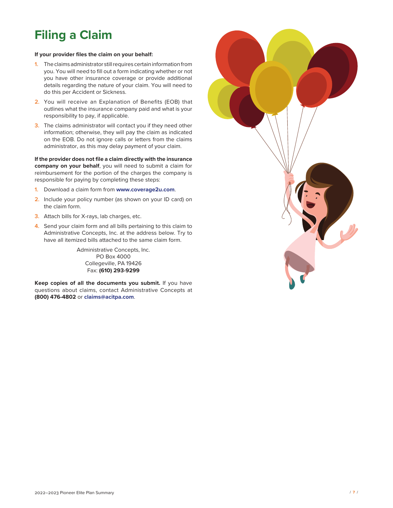# **Filing a Claim**

#### **If your provider files the claim on your behalf:**

- **1.** The claims administrator still requires certain information from you. You will need to fill out a form indicating whether or not you have other insurance coverage or provide additional details regarding the nature of your claim. You will need to do this per Accident or Sickness.
- **2.** You will receive an Explanation of Benefits (EOB) that outlines what the insurance company paid and what is your responsibility to pay, if applicable.
- **3.** The claims administrator will contact you if they need other information; otherwise, they will pay the claim as indicated on the EOB. Do not ignore calls or letters from the claims administrator, as this may delay payment of your claim.

**If the provider does not file a claim directly with the insurance company on your behalf**, you will need to submit a claim for reimbursement for the portion of the charges the company is responsible for paying by completing these steps:

- **1.** Download a claim form from **www.coverage2u.com**.
- **2.** Include your policy number (as shown on your ID card) on the claim form.
- **3.** Attach bills for X-rays, lab charges, etc.
- **4.** Send your claim form and all bills pertaining to this claim to Administrative Concepts, Inc. at the address below. Try to have all itemized bills attached to the same claim form.

Administrative Concepts, Inc. PO Box 4000 Collegeville, PA 19426 Fax: **(610) 293-9299**

**Keep copies of all the documents you submit.** If you have questions about claims, contact Administrative Concepts at **(800) 476-4802** or **claims@acitpa.com**.

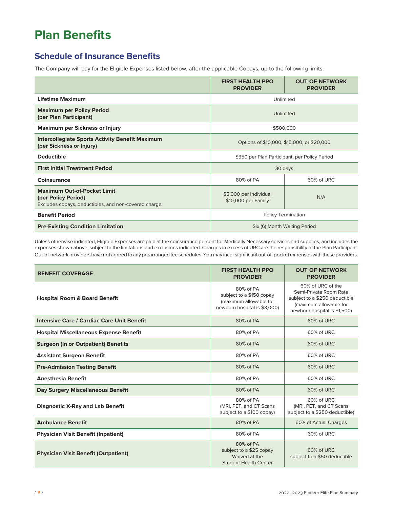# **Plan Benefits**

## **Schedule of Insurance Benefits**

The Company will pay for the Eligible Expenses listed below, after the applicable Copays, up to the following limits.

|                                                                                                                    | <b>FIRST HEALTH PPO</b><br><b>PROVIDER</b>    | <b>OUT-OF-NETWORK</b><br><b>PROVIDER</b> |
|--------------------------------------------------------------------------------------------------------------------|-----------------------------------------------|------------------------------------------|
| <b>Lifetime Maximum</b>                                                                                            | Unlimited                                     |                                          |
| <b>Maximum per Policy Period</b><br>(per Plan Participant)                                                         | Unlimited                                     |                                          |
| <b>Maximum per Sickness or Injury</b>                                                                              | \$500,000                                     |                                          |
| <b>Intercollegiate Sports Activity Benefit Maximum</b><br>(per Sickness or Injury)                                 | Options of \$10,000, \$15,000, or \$20,000    |                                          |
| <b>Deductible</b>                                                                                                  | \$350 per Plan Participant, per Policy Period |                                          |
| <b>First Initial Treatment Period</b>                                                                              | 30 days                                       |                                          |
| Coinsurance                                                                                                        | 80% of PA                                     | 60% of URC                               |
| <b>Maximum Out-of-Pocket Limit</b><br>(per Policy Period)<br>Excludes copays, deductibles, and non-covered charge. | \$5,000 per Individual<br>\$10,000 per Family | N/A                                      |
| <b>Benefit Period</b>                                                                                              | <b>Policy Termination</b>                     |                                          |
| <b>Pre-Existing Condition Limitation</b>                                                                           | Six (6) Month Waiting Period                  |                                          |

Unless otherwise indicated, Eligible Expenses are paid at the coinsurance percent for Medically Necessary services and supplies, and includes the expenses shown above, subject to the limitations and exclusions indicated. Charges in excess of URC are the responsibility of the Plan Participant. Out-of-network providers have not agreed to any prearranged fee schedules. You may incur significant out-of- pocket expenses with these providers.

| <b>BENEFIT COVERAGE</b>                           | <b>FIRST HEALTH PPO</b><br><b>PROVIDER</b>                                                      | <b>OUT-OF-NETWORK</b><br><b>PROVIDER</b>                                                                                               |
|---------------------------------------------------|-------------------------------------------------------------------------------------------------|----------------------------------------------------------------------------------------------------------------------------------------|
| <b>Hospital Room &amp; Board Benefit</b>          | 80% of PA<br>subject to a \$150 copay<br>(maximum allowable for<br>newborn hospital is \$3,000) | 60% of URC of the<br>Semi-Private Room Rate<br>subject to a \$250 deductible<br>(maximum allowable for<br>newborn hospital is \$1,500) |
| <b>Intensive Care / Cardiac Care Unit Benefit</b> | 80% of PA                                                                                       | 60% of URC                                                                                                                             |
| <b>Hospital Miscellaneous Expense Benefit</b>     | 80% of PA                                                                                       | 60% of URC                                                                                                                             |
| <b>Surgeon (In or Outpatient) Benefits</b>        | 80% of PA                                                                                       | 60% of URC                                                                                                                             |
| <b>Assistant Surgeon Benefit</b>                  | 80% of PA                                                                                       | 60% of URC                                                                                                                             |
| <b>Pre-Admission Testing Benefit</b>              | 80% of PA                                                                                       | 60% of URC                                                                                                                             |
| <b>Anesthesia Benefit</b>                         | 80% of PA                                                                                       | 60% of URC                                                                                                                             |
| Day Surgery Miscellaneous Benefit                 | 80% of PA                                                                                       | 60% of URC                                                                                                                             |
| <b>Diagnostic X-Ray and Lab Benefit</b>           | 80% of PA<br>(MRI, PET, and CT Scans<br>subject to a \$100 copay)                               | 60% of URC<br>(MRI, PET, and CT Scans<br>subject to a \$250 deductible)                                                                |
| <b>Ambulance Benefit</b>                          | 80% of PA                                                                                       | 60% of Actual Charges                                                                                                                  |
| <b>Physician Visit Benefit (Inpatient)</b>        | 80% of PA                                                                                       | 60% of URC                                                                                                                             |
| <b>Physician Visit Benefit (Outpatient)</b>       | 80% of PA<br>subject to a \$25 copay<br>Waived at the<br><b>Student Health Center</b>           | 60% of URC<br>subject to a \$50 deductible                                                                                             |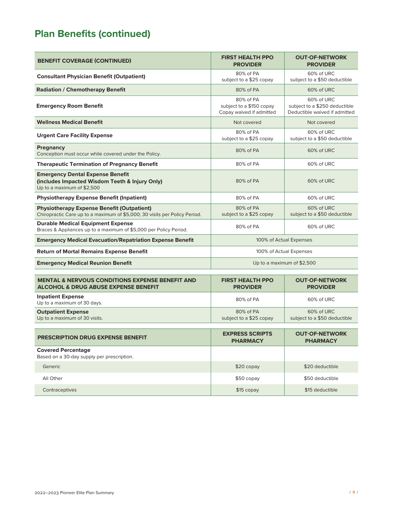## **Plan Benefits (continued)**

| <b>BENEFIT COVERAGE (CONTINUED)</b>                                                                                             | <b>FIRST HEALTH PPO</b><br><b>PROVIDER</b>                        | <b>OUT-OF-NETWORK</b><br><b>PROVIDER</b>                                     |
|---------------------------------------------------------------------------------------------------------------------------------|-------------------------------------------------------------------|------------------------------------------------------------------------------|
| <b>Consultant Physician Benefit (Outpatient)</b>                                                                                | 80% of PA<br>subject to a \$25 copay                              | 60% of URC<br>subject to a \$50 deductible                                   |
| <b>Radiation / Chemotherapy Benefit</b>                                                                                         | 80% of PA                                                         | 60% of URC                                                                   |
| <b>Emergency Room Benefit</b>                                                                                                   | 80% of PA<br>subject to a \$150 copay<br>Copay waived if admitted | 60% of URC<br>subject to a \$250 deductible<br>Deductible waived if admitted |
| <b>Wellness Medical Benefit</b>                                                                                                 | Not covered                                                       | Not covered                                                                  |
| <b>Urgent Care Facility Expense</b>                                                                                             | 80% of PA<br>subject to a \$25 copay                              | 60% of URC<br>subject to a \$50 deductible                                   |
| Pregnancy<br>Conception must occur while covered under the Policy.                                                              | 80% of PA                                                         | 60% of URC                                                                   |
| <b>Therapeutic Termination of Pregnancy Benefit</b>                                                                             | 80% of PA                                                         | 60% of URC                                                                   |
| <b>Emergency Dental Expense Benefit</b><br>(includes Impacted Wisdom Teeth & Injury Only)<br>Up to a maximum of \$2,500         | 80% of PA                                                         | 60% of URC                                                                   |
| <b>Physiotherapy Expense Benefit (Inpatient)</b>                                                                                | 80% of PA                                                         | 60% of URC                                                                   |
| <b>Physiotherapy Expense Benefit (Outpatient)</b><br>Chiropractic Care up to a maximum of \$5,000; 30 visits per Policy Period. | 80% of PA<br>subject to a \$25 copay                              | 60% of URC<br>subject to a \$50 deductible                                   |
| <b>Durable Medical Equipment Expense</b><br>Braces & Appliances up to a maximum of \$5,000 per Policy Period.                   | 80% of PA                                                         | 60% of URC                                                                   |
| <b>Emergency Medical Evacuation/Repatriation Expense Benefit</b>                                                                | 100% of Actual Expenses                                           |                                                                              |
| <b>Return of Mortal Remains Expense Benefit</b>                                                                                 | 100% of Actual Expenses                                           |                                                                              |
| <b>Emergency Medical Reunion Benefit</b>                                                                                        | Up to a maximum of \$2,500                                        |                                                                              |
|                                                                                                                                 |                                                                   |                                                                              |

| <b>MENTAL &amp; NERVOUS CONDITIONS EXPENSE BENEFIT AND</b> | <b>FIRST HEALTH PPO</b> | <b>OUT-OF-NETWORK</b>        |
|------------------------------------------------------------|-------------------------|------------------------------|
| <b>ALCOHOL &amp; DRUG ABUSE EXPENSE BENEFIT</b>            | <b>PROVIDER</b>         | <b>PROVIDER</b>              |
| <b>Inpatient Expense</b><br>Up to a maximum of 30 days.    | 80% of PA               | 60% of URC                   |
| <b>Outpatient Expense</b>                                  | 80% of PA               | 60% of URC                   |
| Up to a maximum of 30 visits.                              | subject to a \$25 copay | subject to a \$50 deductible |

| <b>PRESCRIPTION DRUG EXPENSE BENEFIT</b>                                | <b>EXPRESS SCRIPTS</b><br><b>PHARMACY</b> | <b>OUT-OF-NETWORK</b><br><b>PHARMACY</b> |
|-------------------------------------------------------------------------|-------------------------------------------|------------------------------------------|
| <b>Covered Percentage</b><br>Based on a 30-day supply per prescription. |                                           |                                          |
| Generic                                                                 | $$20$ copay                               | \$20 deductible                          |
| All Other                                                               | $$50$ copay                               | \$50 deductible                          |
| Contraceptives                                                          | $$15$ copay                               | \$15 deductible                          |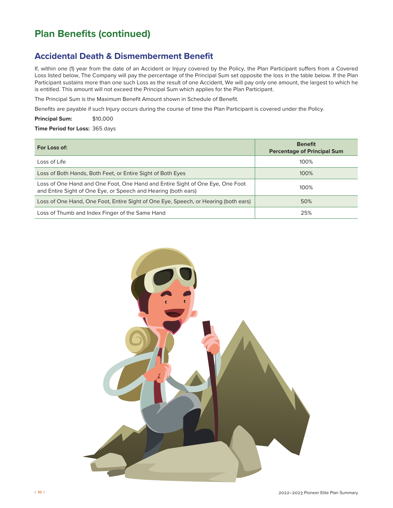## **Plan Benefits (continued)**

### **Accidental Death & Dismemberment Benefit**

If, within one (1) year from the date of an Accident or Injury covered by the Policy, the Plan Participant suffers from a Covered Loss listed below, The Company will pay the percentage of the Principal Sum set opposite the loss in the table below. If the Plan Participant sustains more than one such Loss as the result of one Accident, We will pay only one amount, the largest to which he is entitled. This amount will not exceed the Principal Sum which applies for the Plan Participant.

The Principal Sum is the Maximum Benefit Amount shown in Schedule of Benefit.

Benefits are payable if such Injury occurs during the course of time the Plan Participant is covered under the Policy.

**Principal Sum:** \$10,000

**Time Period for Loss:** 365 days

| For Loss of:                                                                                                                                    | <b>Benefit</b><br><b>Percentage of Principal Sum</b> |
|-------------------------------------------------------------------------------------------------------------------------------------------------|------------------------------------------------------|
| Loss of Life                                                                                                                                    | 100%                                                 |
| Loss of Both Hands, Both Feet, or Entire Sight of Both Eyes                                                                                     | 100%                                                 |
| Loss of One Hand and One Foot, One Hand and Entire Sight of One Eye, One Foot<br>and Entire Sight of One Eye, or Speech and Hearing (both ears) | 100%                                                 |
| Loss of One Hand, One Foot, Entire Sight of One Eye, Speech, or Hearing (both ears)                                                             | 50%                                                  |
| Loss of Thumb and Index Finger of the Same Hand                                                                                                 | 25%                                                  |

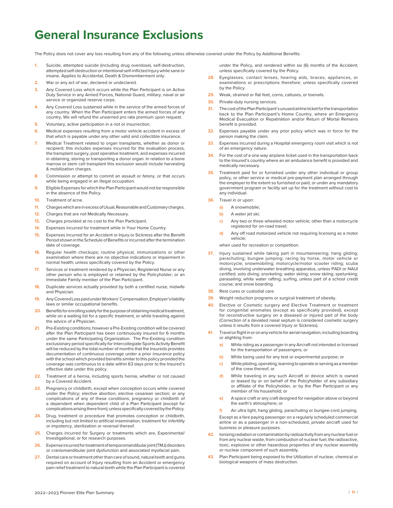## **General Insurance Exclusions**

The Policy does not cover any loss resulting from any of the following unless otherwise covered under the Policy by Additional Benefits:

- **1.** Suicide, attempted suicide (including drug overdose), self-destruction, attempted self-destruction or intentional self-inflicted Injury while sane or insane. Applies to Accidental, Death & Dismemberment only.
- **2.** War or any act of war, declared or undeclared.
- **3.** Any Covered Loss which occurs while the Plan Participant is on Active Duty Service in any Armed Forces, National Guard, military, naval or air service or organized reserve corps.
- **4.** Any Covered Loss sustained while in the service of the armed forces of any country. When the Plan Participant enters the armed forces of any country, We will refund the unearned pro rata premium upon request.
- **5.** Voluntary, active participation in a riot or insurrection.
- **6.** Medical expenses resulting from a motor vehicle accident in excess of that which is payable under any other valid and collectible insurance.
- **7.** Medical Treatment related to organ transplants, whether as donor or recipient; this includes expenses incurred for the evaluation process, the transplant surgery, post operative treatment, and expenses incurred in obtaining, storing or transporting a donor organ. In relation to a bone marrow or stem cell transplant this exclusion would include harvesting & mobilization charges.
- **8.** Commission or attempt to commit an assault or felony, or that occurs while being engaged in an illegal occupation.
- **9.** Eligible Expenses for which the Plan Participant would not be responsible in the absence of the Policy.
- **10.** Treatment of acne.
- **11.** Charges which are in excess of Usual, Reasonable and Customary charges.
- **12.** Charges that are not Medically Necessary.
- **13.** Charges provided at no cost to the Plan Participant.
- **14.** Expenses incurred for treatment while in Your Home Country.
- **15.** Expenses incurred for an Accident or Injury or Sickness after the Benefit Period shown in the Schedule of Benefits or incurred after the termination date of coverage.
- **16.** Regular health checkups; routine physical, immunizations or other examination where there are no objective indications or impairment in normal health; unless specifically covered by the Policy.
- **17.** Services or treatment rendered by a Physician, Registered Nurse or any other person who is employed or retained by the Policyholder; or an Immediate Family member of the Plan Participant.
- **18.** Duplicate services actually provided by both a certified nurse, midwife and Physician.
- **19.** Any Covered Loss paid under Workers' Compensation, Employer's liability laws or similar occupational benefits.
- **20.** Benefits for enrolling solely for the purpose of obtaining medical treatment, while on a waiting list for a specific treatment, or while traveling against the advice of a Physician.
- **21.** Pre-Existing conditions; however a Pre-Existing condition will be covered after the Plan Participant has been continuously insured for 6 months under the same Participating Organization. The Pre-Existing condition exclusionary period specifically for Intercollegiate Sports Activity Benefit will be reduced by the total number of months that the Insureds provides documentation of continuous coverage under a prior insurance policy with the school which provided benefits similar to this policy provided the coverage was continuous to a date within 63 days prior to the Insured's effective date under this policy.
- **22.** Treatment of a hernia, including sports hernia, whether or not caused by a Covered Accident.
- **23.** Pregnancy or childbirth, except when conception occurs while covered under the Policy; elective abortion; elective cesarean section; or any complications of any of these conditions; pregnancy or childbirth of a dependent when dependent child of a Plan Participant (except for complications arising there from); unless specifically covered by the Policy.
- **24.** Drug, treatment or procedure that promotes conception or childbirth, including but not limited to artificial insemination, treatment for infertility or impotency, sterilization or reversal thereof.
- **25.** Charges incurred for Surgery or treatments which are, Experimental/ Investigational, or for research purposes.
- **26.** Expense incurred for treatment of temporomandibular joint (TMJ) disorders or craniomandibular joint dysfunction and associated myofacial pain.
- **27.** Dental care or treatment other than care of sound, natural teeth and gums required on account of Injury resulting from an Accident or emergency pain relief treatment to natural teeth while the Plan Participant is covered

under the Policy, and rendered within six (6) months of the Accident; unless specifically covered by the Policy.

- **28.** Eyeglasses, contact lenses, hearing aids, braces, appliances, or examinations or prescriptions therefore; unless specifically covered by the Policy.
- **29.** Weak, strained or flat feet, corns, calluses, or toenails.
- **30.** Private-duty nursing services.
- **31.** The cost of the Plan Participant's unused airline ticket for the transportation back to the Plan Participant's Home Country, where an Emergency Medical Evacuation or Repatriation and/or Return of Mortal Remains benefit is provided.
- **32.** Expenses payable under any prior policy which was in force for the person making the claim.
- **33.** Expenses incurred during a Hospital emergency room visit which is not of an emergency nature
- **34.** For the cost of a one way airplane ticket used in the transportation back to the Insured's country where an air ambulance benefit is provided and medically necessary.
- **35.** Treatment paid for or furnished under any other individual or group policy, or other service or medical pre-payment plan arranged through the employer to the extent so furnished or paid, or under any mandatory government program or facility set up for the treatment without cost to any individual.
- **36.** Travel in or upon:
	- **a)** A snowmobile;
	- **b)** A water jet ski;
	- **c)** Any two or three wheeled motor vehicle, other than a motorcycle registered for on-road travel;
	- **d)** Any off road motorized vehicle not requiring licensing as a motor vehicle;

when used for recreation or competition.

- **37.** Injury sustained while taking part in mountaineering; hang gliding; parachuting; bungee jumping; racing by horse, motor vehicle or motorcycle; snowmobiling; motorcycle/motor scooter riding; scuba diving, involving underwater breathing apparatus, unless PADI or NAUI certified; solo diving; snorkeling; water skiing; snow skiing; spelunking; parasailing; white water rafting; surfing, unless part of a school credit course; and snow boarding.
- **38.** Rest cures or custodial care.
- **39.** Weight reduction programs or surgical treatment of obesity.
- **40.** Elective or Cosmetic surgery and Elective Treatment or treatment for congenital anomalies (except as specifically provided), except for reconstructive surgery on a diseased or injured part of the body (Correction of a deviated nasal septum is considered cosmetic surgery unless it results from a covered Injury or Sickness).
- **41.** Travel or flight in or on any vehicle for aerial navigation, including boarding or alighting from:
	- **a)** While riding as a passenger in any Aircraft not intended or licensed for the transportation of passengers; or
	- **b)** While being used for any test or experimental purpose; or
	- **c)** While piloting, operating, learning to operate or serving as a member of the crew thereof; or
	- **d)** While traveling in any such Aircraft or device which is owned or leased by or on behalf of the Policyholder of any subsidiary or affiliate of the Policyholder, or by the Plan Participant or any member of his household; or
	- **e)** A space craft or any craft designed for navigation above or beyond the earth's atmosphere; or
	- **f)** An ultra light, hang gliding, parachuting or bungee-cord jumping.

Except as a fare paying passenger on a regularly scheduled commercial airline or as a passenger in a non-scheduled, private aircraft used for business or pleasure purposes.

- **42.** Ionizing radiation or contamination by radioactivity from any nuclear fuel or from any nuclear waste, from combustion of nuclear fuel, the radioactive, toxic, explosive or other hazardous properties of any nuclear assembly or nuclear component of such assembly.
- **43.** Plan Participant being exposed to the Utilization of nuclear, chemical or biological weapons of mass destruction.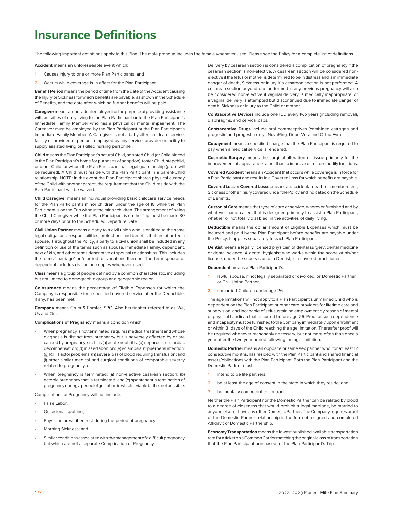## **Insurance Definitions**

The following important definitions apply to this Plan. The male pronoun includes the female whenever used. Please see the Policy for a complete list of definitions.

**Accident** means an unforeseeable event which:

- **1.** Causes Injury to one or more Plan Participants; and
- **2.** Occurs while coverage is in effect for the Plan Participant.

**Benefit Period** means the period of time from the date of the Accident causing the Injury or Sickness for which benefits are payable, as shown in the Schedule of Benefits, and the date after which no further benefits will be paid.

**Caregiver** means an individual employed for the purpose of providing assistance with activities of daily living to the Plan Participant or to the Plan Participant's Immediate Family Member who has a physical or mental impairment. The Caregiver must be employed by the Plan Participant or the Plan Participant's Immediate Family Member. A Caregiver is not a babysitter; childcare service, facility or provider; or persons employed by any service, provider or facility to supply assisted living or skilled nursing personnel.

**Child** means the Plan Participant's natural Child, adopted Child (or Child placed in the Plan Participant's home for purposes of adoption), foster Child, stepchild, or other Child for whom the Plan Participant has legal guardianship (proof will be required). A Child must reside with the Plan Participant in a parent-Child relationship. NOTE: In the event the Plan Participant shares physical custody of the Child with another parent, the requirement that the Child reside with the Plan Participant will be waived.

**Child Caregiver** means an individual providing basic childcare service needs for the Plan Participant's minor children under the age of 18 while the Plan Participant is on the Trip without the minor children. The arrangement of being the Child Caregiver while the Plan Participant is on the Trip must be made 30 or more days prior to the Scheduled Departure Date.

**Civil Union Partner** means a party to a civil union who is entitled to the same legal obligations, responsibilities, protections and benefits that are afforded a spouse. Throughout the Policy, a party to a civil union shall be included in any definition or use of the terms such as spouse, Immediate Family, dependent, next of kin, and other terms descriptive of spousal relationships. This includes the terms 'marriage' or 'married' or variations thereon. The term spouse or dependent includes civil union couples whenever used.

**Class** means a group of people defined by a common characteristic, including but not limited to demographic group and geographic region.

**Coinsurance** means the percentage of Eligible Expenses for which the Company is responsible for a specified covered service after the Deductible, if any, has been met.

**Company** means Crum & Forster, SPC. Also hereinafter referred to as We, Us and Our.

**Complications of Pregnancy** means a condition which:

- **•** When pregnancy is not terminated, requires medical treatment and whose diagnosis is distinct from pregnancy but is adversely affected by or are caused by pregnancy, such as (a) acute nephritis; (b) nephrosis; (c) cardiac decompensation; (d) missed abortion; (e) eclampsia; (f) puerperal infection; (g) R.H. Factor problems; (h) severe loss of blood requiring transfusion; and (i) other similar medical and surgical conditions of comparable severity related to pregnancy; or
- **•** When pregnancy is terminated: (a) non-elective cesarean section; (b) ectopic pregnancy that is terminated; and (c) spontaneous termination of pregnancy during a period of gestation in which a viable birth is not possible.

Complications of Pregnancy will not include:

- **•** False Labor;
- **•** Occasional spotting;
- **•** Physician prescribed rest during the period of pregnancy;
- **•** Morning Sickness; and
- **•** Similar conditions associated with the management of a difficult pregnancy but which are not a separate Complication of Pregnancy.

Delivery by cesarean section is considered a complication of pregnancy if the cesarean section is non-elective. A cesarean section will be considered nonelective if the fetus or mother is determined to be in distress and is in immediate danger of death, Sickness or Injury if a cesarean section is not performed. A cesarean section beyond one performed in any previous pregnancy will also be considered non-elective if vaginal delivery is medically inappropriate, or a vaginal delivery is attempted but discontinued due to immediate danger of death, Sickness or Injury to the Child or mother.

**Contraceptive Devices** include one IUD every two years (including removal), diaphragms, and cervical caps.

**Contraceptive Drugs** include oral contraceptives (combined estrogen and progestin and progestin-only), NuvaRing, Depo Vera and Ortho Evra.

**Copayment** means a specified charge that the Plan Participant is required to pay when a medical service is rendered.

**Cosmetic Surgery** means the surgical alteration of tissue primarily for the improvement of appearance rather than to improve or restore bodily functions.

**Covered Accident** means an Accident that occurs while coverage is in force for a Plan Participant and results in a Covered Loss for which benefits are payable.

**Covered Loss** or **Covered Losses** means an accidental death, dismemberment, Sickness or other Injury covered under the Policy and indicated on the Schedule of Benefits.

**Custodial Care** means that type of care or service, wherever furnished and by whatever name called, that is designed primarily to assist a Plan Participant, whether or not totally disabled, in the activities of daily living.

**Deductible** means the dollar amount of Eligible Expenses which must be incurred and paid by the Plan Participant before benefits are payable under the Policy. It applies separately to each Plan Participant.

**Dentist** means a legally licensed physician of dental surgery; dental medicine or dental science. A dental hygienist who works within the scope of his/her license, under the supervision of a Dentist, is a covered practitioner.

**Dependent** means a Plan Participant's:

- lawful spouse, if not legally separated or divorced, or Domestic Partner or Civil Union Partner.
- **2.** unmarried Children under age 26.

The age limitations will not apply to a Plan Participant's unmarried Child who is dependent on the Plan Participant or other care providers for lifetime care and supervision, and incapable of self-sustaining employment by reason of mental or physical handicap that occurred before age 26. Proof of such dependence and incapacity must be furnished to the Company immediately upon enrollment or within 31 days of the Child reaching the age limitation. Thereafter proof will be required whenever reasonably necessary, but not more often than once a year after the two-year period following the age limitation.

**Domestic Partner** means an opposite or same sex partner who, for at least 12 consecutive months, has resided with the Plan Participant and shared financial assets/obligations with the Plan Participant. Both the Plan Participant and the Domestic Partner must:

- **1.** intend to be life partners;
- **2.** be at least the age of consent in the state in which they reside; and
- **3.** be mentally competent to contract.

Neither the Plan Participant nor the Domestic Partner can be related by blood to a degree of closeness that would prohibit a legal marriage, be married to anyone else, or have any other Domestic Partner. The Company requires proof of the Domestic Partner relationship in the form of a signed and completed Affidavit of Domestic Partnership.

**Economy Transportation** means the lowest published available transportation rate for a ticket on a Common Carrier matching the original class of transportation that the Plan Participant purchased for the Plan Participant's Trip.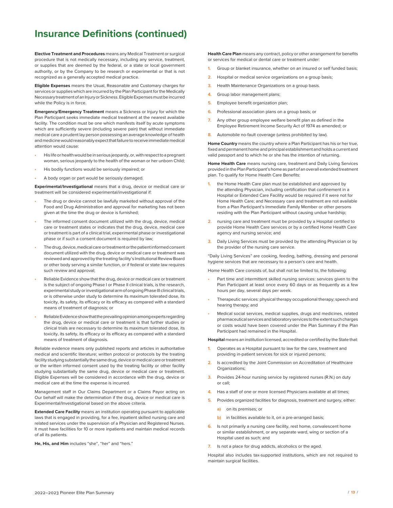## **Insurance Definitions (continued)**

**Elective Treatment and Procedures** means any Medical Treatment or surgical procedure that is not medically necessary, including any service, treatment, or supplies that are deemed by the federal, or a state or local government authority, or by the Company to be research or experimental or that is not recognized as a generally accepted medical practice.

**Eligible Expenses** means the Usual, Reasonable and Customary charges for services or supplies which are incurred by the Plan Participant for the Medically Necessary treatment of an Injury or Sickness. Eligible Expenses must be incurred while the Policy is in force.

**Emergency/Emergency Treatment** means a Sickness or Injury for which the Plan Participant seeks immediate medical treatment at the nearest available facility. The condition must be one which manifests itself by acute symptoms which are sufficiently severe (including severe pain) that without immediate medical care a prudent lay person possessing an average knowledge of health and medicine would reasonably expect that failure to receive immediate medical attention would cause:

- **•** His life or health would be in serious jeopardy, or, with respect to a pregnant woman, serious jeopardy to the health of the woman or her unborn Child;
- **•** His bodily functions would be seriously impaired; or
- **•** A body organ or part would be seriously damaged.

**Experimental/Investigational** means that a drug, device or medical care or treatment will be considered experimental/investigational if:

- **•** The drug or device cannot be lawfully marketed without approval of the Food and Drug Administration and approval for marketing has not been given at the time the drug or device is furnished;
- **•** The informed consent document utilized with the drug, device, medical care or treatment states or indicates that the drug, device, medical care or treatment is part of a clinical trial, experimental phase or investigational phase or if such a consent document is required by law;
- **•** The drug, device, medical care or treatment or the patient informed consent document utilized with the drug, device or medical care or treatment was reviewed and approved by the treating facility's Institutional Review Board or other body serving a similar function, or if federal or state law requires such review and approval;
- **•** Reliable Evidence show that the drug, device or medical care or treatment is the subject of ongoing Phase I or Phase II clinical trials, is the research, experimental study or investigational arm of ongoing Phase III clinical trials, or is otherwise under study to determine its maximum tolerated dose, its toxicity, its safety, its efficacy or its efficacy as compared with a standard means of treatment of diagnosis; or
- **•** Reliable Evidence show that the prevailing opinion among experts regarding the drug, device or medical care or treatment is that further studies or clinical trials are necessary to determine its maximum tolerated dose, its toxicity, its safety, its efficacy or its efficacy as compared with a standard means of treatment of diagnosis.

Reliable evidence means only published reports and articles in authoritative medical and scientific literature; written protocol or protocols by the treating facility studying substantially the same drug, device or medical care or treatment or the written informed consent used by the treating facility or other facility studying substantially the same drug, device or medical care or treatment. Eligible Expenses will be considered in accordance with the drug, device or medical care at the time the expense is incurred.

Management staff in Our Claims Department or a Claims Payor acting on Our behalf will make the determination if the drug, device or medical care is Experimental/Investigational based on the above criteria.

**Extended Care Facility** means an institution operating pursuant to applicable laws that is engaged in providing, for a fee, inpatient skilled nursing care and related services under the supervision of a Physician and Registered Nurses. It must have facilities for 10 or more inpatients and maintain medical records of all its patients.

**He, His, and Him** includes "she", "her" and "hers."

**Health Care Plan** means any contract, policy or other arrangement for benefits or services for medical or dental care or treatment under:

- **1.** Group or blanket insurance, whether on an insured or self funded basis;
- **2.** Hospital or medical service organizations on a group basis;
- **3.** Health Maintenance Organizations on a group basis.
- **4.** Group labor management plans;
- **5.** Employee benefit organization plan;
- **6.** Professional association plans on a group basis; or
- **7.** Any other group employee welfare benefit plan as defined in the Employee Retirement Income Security Act of 1974 as amended; or
- **8.** Automobile no-fault coverage (unless prohibited by law).

**Home Country** means the country where a Plan Participant has his or her true, fixed and permanent home and principal establishment and holds a current and valid passport and to which he or she has the intention of returning.

**Home Health Care** means nursing care, treatment and Daily Living Services provided in the Plan Participant's home as part of an overall extended treatment plan. To qualify for Home Health Care Benefits:

- **1.** the Home Health Care plan must be established and approved by the attending Physician, including certification that confinement in a Hospital or Extended Care Facility would be required if it were not for Home Health Care; and Necessary care and treatment are not available from a Plan Participant's Immediate Family Member or other persons residing with the Plan Participant without causing undue hardship;
- **2.** nursing care and treatment must be provided by a Hospital certified to provide Home Health Care services or by a certified Home Health Care agency and nursing service; and
- **3.** Daily Living Services must be provided by the attending Physician or by the provider of the nursing care service.

"Daily Living Services" are cooking, feeding, bathing, dressing and personal hygiene services that are necessary to a person's care and health.

Home Health Care consists of, but shall not be limited to, the following:

- **•** Part time and intermittent skilled nursing services: services given to the Plan Participant at least once every 60 days or as frequently as a few hours per day, several days per week.
- **•** Therapeutic services: physical therapy occupational therapy; speech and hearing therapy; and
- **•** Medical social services, medical supplies, drugs and medicines, related pharmaceutical services and laboratory services to the extent such charges or costs would have been covered under the Plan Summary if the Plan Participant had remained in the Hospital.

**Hospital** means an institution licensed, accredited or certified by the State that:

- **1.** Operates as a Hospital pursuant to law for the care, treatment and providing in-patient services for sick or injured persons;
- **2.** Is accredited by the Joint Commission on Accreditation of Healthcare Organizations;
- **3.** Provides 24-hour nursing service by registered nurses (R.N.) on duty or call;
- **4.** Has a staff of one or more licensed Physicians available at all times;
- **5.** Provides organized facilities for diagnosis, treatment and surgery, either:
	- **a)** on its premises; or
	- **b)** in facilities available to it, on a pre-arranged basis;
- **6.** Is not primarily a nursing care facility, rest home, convalescent home or similar establishment, or any separate ward, wing or section of a Hospital used as such; and
- **7.** Is not a place for drug addicts, alcoholics or the aged.

Hospital also includes tax-supported institutions, which are not required to maintain surgical facilities.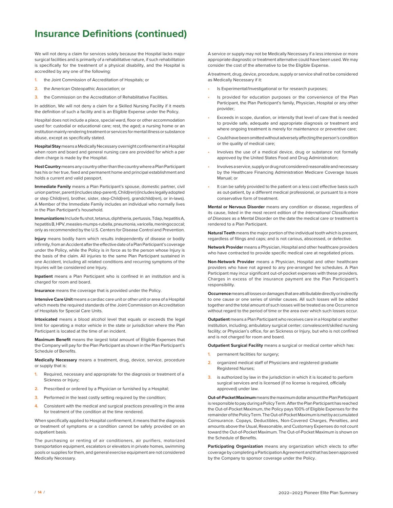## **Insurance Definitions (continued)**

We will not deny a claim for services solely because the Hospital lacks major surgical facilities and is primarily of a rehabilitative nature, if such rehabilitation is specifically for the treatment of a physical disability, and the Hospital is accredited by any one of the following:

- **1.** the Joint Commission of Accreditation of Hospitals; or
- **2.** the American Osteopathic Association; or
- **3.** the Commission on the Accreditation of Rehabilitative Facilities.

In addition, We will not deny a claim for a Skilled Nursing Facility if it meets the definition of such a facility and is an Eligible Expense under the Policy.

Hospital does not include a place, special ward, floor or other accommodation used for: custodial or educational care; rest, the aged; a nursing home or an institution mainly rendering treatment or services for mental illness or substance abuse, except as specifically stated.

**Hospital Stay** means a Medically Necessary overnight confinement in a Hospital when room and board and general nursing care are provided for which a per diem charge is made by the Hospital.

**Host Country** means any country other than the country where a Plan Participant has his or her true, fixed and permanent home and principal establishment and holds a current and valid passport.

**Immediate Family** means a Plan Participant's spouse, domestic partner, civil union partner, parent (includes step-parent), Child(ren) (includes legally adopted or step Child(ren), brother, sister, step-Child(ren), grandchild(ren), or in-laws). A Member of the Immediate Family includes an individual who normally lives in the Plan Participant's household.

**Immunizations** Include flu shot, tetanus, diphtheria, pertussis, Tdap, hepatitis A, hepatitis B, HPV, measles-mumps-rubella, pneumonia, varicella, meningococcal; only as recommended by the U.S. Centers for Disease Control and Prevention.

**Injury** means bodily harm which results independently of disease or bodily infirmity, from an Accident after the effective date of a Plan Participant's coverage under the Policy, while the Policy is in force as to the person whose Injury is the basis of the claim. All injuries to the same Plan Participant sustained in one Accident, including all related conditions and recurring symptoms of the Injuries will be considered one Injury.

**Inpatient** means a Plan Participant who is confined in an institution and is charged for room and board.

**Insurance** means the coverage that is provided under the Policy.

**Intensive Care Unit** means a cardiac care unit or other unit or area of a Hospital which meets the required standards of the Joint Commission on Accreditation of Hospitals for Special Care Units.

**Intoxicated** means a blood alcohol level that equals or exceeds the legal limit for operating a motor vehicle in the state or jurisdiction where the Plan Participant is located at the time of an incident.

**Maximum Benefit** means the largest total amount of Eligible Expenses that the Company will pay for the Plan Participant as shown in the Plan Participant's Schedule of Benefits.

**Medically Necessary** means a treatment, drug, device, service, procedure or supply that is:

- **1.** Required, necessary and appropriate for the diagnosis or treatment of a Sickness or Injury;
- **2.** Prescribed or ordered by a Physician or furnished by a Hospital;
- **3.** Performed in the least costly setting required by the condition;
- **4.** Consistent with the medical and surgical practices prevailing in the area for treatment of the condition at the time rendered.

When specifically applied to Hospital confinement, it means that the diagnosis or treatment of symptoms or a condition cannot be safely provided on an outpatient basis.

The purchasing or renting of air conditioners, air purifiers, motorized transportation equipment, escalators or elevators in private homes, swimming pools or supplies for them, and general exercise equipment are not considered Medically Necessary.

A service or supply may not be Medically Necessary if a less intensive or more appropriate diagnostic or treatment alternative could have been used. We may consider the cost of the alternative to be the Eligible Expense.

A treatment, drug, device, procedure, supply or service shall not be considered as Medically Necessary if it:

- **•** Is Experimental/Investigational or for research purposes;
- **•** Is provided for education purposes or the convenience of the Plan Participant, the Plan Participant's family, Physician, Hospital or any other provider;
- **•** Exceeds in scope, duration, or intensity that level of care that is needed to provide safe, adequate and appropriate diagnosis or treatment and where ongoing treatment is merely for maintenance or preventive care;
- **•** Could have been omitted without adversely affecting the person's condition or the quality of medical care;
- **•** Involves the use of a medical device, drug or substance not formally approved by the United States Food and Drug Administration;
- **•** Involves a service, supply or drug not considered reasonable and necessary by the Healthcare Financing Administration Medicare Coverage Issues Manual; or
- **•** It can be safely provided to the patient on a less cost effective basis such as out-patient, by a different medical professional, or pursuant to a more conservative form of treatment.

**Mental or Nervous Disorder** means any condition or disease, regardless of its cause, listed in the most recent edition of the *International Classification of Diseases* as a Mental Disorder on the date the medical care or treatment is rendered to a Plan Participant.

**Natural Teeth** means the major portion of the individual tooth which is present, regardless of filings and caps; and is not carious, abscessed, or defective.

**Network Provider** means a Physician, Hospital and other healthcare providers who have contracted to provide specific medical care at negotiated prices.

**Non-Network Provider** means a Physician, Hospital and other healthcare providers who have not agreed to any pre-arranged fee schedules. A Plan Participant may incur significant out-of-pocket expenses with these providers. Charges in excess of the insurance payment are the Plan Participant's responsibility.

**Occurrence** means all losses or damages that are attributable directly or indirectly to one cause or one series of similar causes. All such losses will be added together and the total amount of such losses will be treated as one Occurrence without regard to the period of time or the area over which such losses occur.

**Outpatient** means a Plan Participant who receives care in a Hospital or another institution, including; ambulatory surgical center; convalescent/skilled nursing facility; or Physician's office, for an Sickness or Injury, but who is not confined and is not charged for room and board.

**Outpatient Surgical Facility** means a surgical or medical center which has:

- permanent facilities for surgery;
- **2.** organized medical staff of Physicians and registered graduate Registered Nurses;
- **3.** is authorized by law in the jurisdiction in which it is located to perform surgical services and is licensed (if no license is required, officially approved) under law.

**Out-of-Pocket Maximum** means the maximum dollar amount the Plan Participant is responsible to pay during a Policy Term. After the Plan Participant has reached the Out-of-Pocket Maximum, the Policy pays 100% of Eligible Expenses for the remainder of the Policy Term. The Out-of-Pocket Maximum is met by accumulated Coinsurance. Copays, Deductibles, Non-Covered Charges, Penalties, and amounts above the Usual, Reasonable, and Customary Expenses do not count toward the Out-of-Pocket Maximum. The Out-of-Pocket Maximum is shown on the Schedule of Benefits.

**Participating Organization** means any organization which elects to offer coverage by completing a Participation Agreement and that has been approved by the Company to sponsor coverage under the Policy.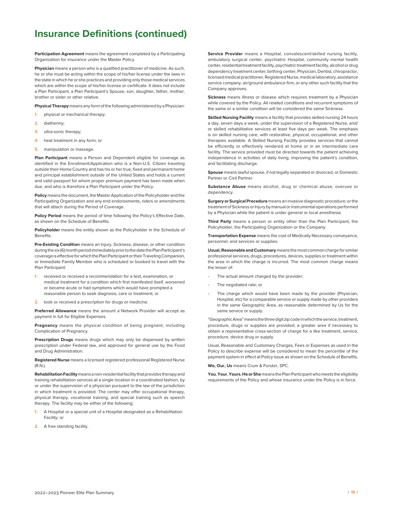## **Insurance Definitions (continued)**

**Participation Agreement** means the agreement completed by a Participating Organization for insurance under the Master Policy.

**Physician** means a person who is a qualified practitioner of medicine. As such, he or she must be acting within the scope of his/her license under the laws in the state in which he or she practices and providing only those medical services which are within the scope of his/her license or certificate. It does not include a Plan Participant, a Plan Participant's Spouse, son, daughter, father, mother, brother or sister or other relative.

**Physical Therapy** means any form of the following administered by a Physician:

- physical or mechanical therapy;
- **2.** diathermy;
- **3.** ultra-sonic therapy;
- **4.** heat treatment in any form; or
- **5.** manipulation or massage.

**Plan Participant** means a Person and Dependent eligible for coverage as identified in the Enrollment/Application who is a Non-U.S. Citizen traveling outside their Home Country and has his or her true, fixed and permanent home and principal establishment outside of the United States and holds a current and valid passport for whom proper premium payment has been made when due, and who is therefore a Plan Participant under the Policy.

**Policy** means the document, the Master Application of the Policyholder and the Participating Organization and any end endorsements, riders or amendments that will attach during the Period of Coverage.

**Policy Period** means the period of time following the Policy's Effective Date, as shown on the Schedule of Benefits.

**Policyholder** means the entity shown as the Policyholder in the Schedule of Benefits.

**Pre-Existing Condition** means an Injury, Sickness, disease, or other condition during the six (6) month period immediately prior to the date the Plan Participant's coverage is effective for which the Plan Participant or their Traveling Companion, or Immediate Family Member who is scheduled or booked to travel with the Plan Participant:

- **1.** received or received a recommendation for a test, examination, or medical treatment for a condition which first manifested itself, worsened or became acute or had symptoms which would have prompted a reasonable person to seek diagnosis, care or treatment; or
- **2.** took or received a prescription for drugs or medicine.

**Preferred Allowance** means the amount a Network Provider will accept as payment in full for Eligible Expenses.

**Pregnancy** means the physical condition of being pregnant, including Complication of Pregnancy.

**Prescription Drugs** means drugs which may only be dispensed by written prescription under Federal law, and approved for general use by the Food and Drug Administration.

**Registered Nurse** means a licensed registered professional Registered Nurse (R.N.).

**Rehabilitation Facility** means a non-residential facility that provides therapy and training rehabilitation services at a single location in a coordinated fashion, by or under the supervision of a physician pursuant to the law of the jurisdiction in which treatment is provided. The center may offer occupational therapy, physical therapy, vocational training, and special training such as speech therapy. The facility may be either of the following:

- **1.** A Hospital or a special unit of a Hospital designated as a Rehabilitation Facility; or
- **2.** A free standing facility.

**Service Provider** means a Hospital, convalescent/skilled nursing facility, ambulatory surgical center, psychiatric Hospital, community mental health center, residential treatment facility, psychiatric treatment facility, alcohol or drug dependency treatment center, birthing center, Physician, Dentist, chiropractor, licensed medical practitioner, Registered Nurse, medical laboratory, assistance service company, air/ground ambulance firm, or any other such facility that the Company approves.

**Sickness** means illness or disease which requires treatment by a Physician while covered by the Policy. All related conditions and recurrent symptoms of the same or a similar condition will be considered the same Sickness.

**Skilled Nursing Facility** means a facility that provides skilled nursing 24 hours a day, seven days a week, under the supervision of a Registered Nurse, and/ or skilled rehabilitative services at least five days per week. The emphasis is on skilled nursing care, with restorative, physical, occupational, and other therapies available. A Skilled Nursing Facility provides services that cannot be efficiently or effectively rendered at home or in an intermediate care facility. The service provided must be directed towards the patient achieving independence in activities of daily living, improving the patient's condition, and facilitating discharge.

**Spouse** means lawful spouse, if not legally separated or divorced, or Domestic Partner or Civil Partner.

**Substance Abuse** means alcohol, drug or chemical abuse, overuse or dependency.

**Surgery or Surgical Procedure** means an invasive diagnostic procedure; or the treatment of Sickness or Injury by manual or instrumental operations performed by a Physician while the patient is under general or local anesthesia.

**Third Party** means a person or entity other than the Plan Participant, the Policyholder, the Participating Organization or the Company.

**Transportation Expense** means the cost of Medically Necessary conveyance, personnel, and services or supplies.

**Usual, Reasonable and Customary** means the most common charge for similar professional services, drugs, procedures, devices, supplies or treatment within the area in which the charge is incurred. The most common charge means the lesser of:

- **•** The actual amount charged by the provider;
- **•** The negotiated rate; or
- **•** The charge which would have been made by the provider (Physician, Hospital, etc) for a comparable service or supply made by other providers in the same Geographic Area, as reasonable determined by Us for the same service or supply.

"Geographic Area" means the three digit zip code in which the service, treatment, procedure, drugs or supplies are provided; a greater area if necessary to obtain a representative cross-section of charge for a like treatment, service, procedure, device drug or supply.

Usual, Reasonable and Customary Charges, Fees or Expenses as used in the Policy to describe expense will be considered to mean the percentile of the payment system in effect at Policy issue as shown on the Schedule of Benefits.

**We, Our, Us** means Crum & Forster, SPC.

**You**, **Your**, **Yours**, **He or She** means the Plan Participant who meets the eligibility requirements of the Policy and whose insurance under the Policy is in force.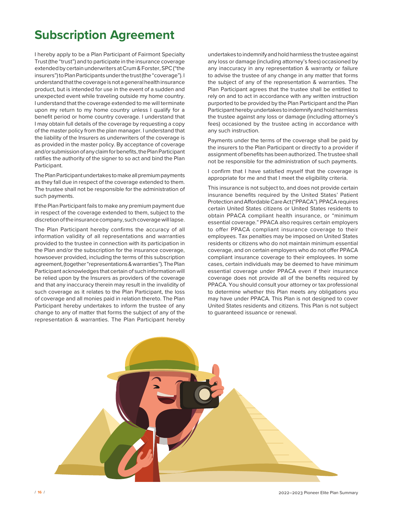# **Subscription Agreement**

I hereby apply to be a Plan Participant of Fairmont Specialty Trust (the "trust") and to participate in the insurance coverage extended by certain underwriters at Crum & Forster, SPC ("the insurers") to Plan Participants under the trust (the "coverage"). I understand that the coverage is not a general health insurance product, but is intended for use in the event of a sudden and unexpected event while traveling outside my home country. I understand that the coverage extended to me will terminate upon my return to my home country unless I qualify for a benefit period or home country coverage. I understand that I may obtain full details of the coverage by requesting a copy of the master policy from the plan manager. I understand that the liability of the Insurers as underwriters of the coverage is as provided in the master policy. By acceptance of coverage and/or submission of any claim for benefits, the Plan Participant ratifies the authority of the signer to so act and bind the Plan Participant.

The Plan Participant undertakes to make all premium payments as they fall due in respect of the coverage extended to them. The trustee shall not be responsible for the administration of such payments.

If the Plan Participant fails to make any premium payment due in respect of the coverage extended to them, subject to the discretion of the insurance company, such coverage will lapse.

The Plan Participant hereby confirms the accuracy of all information validity of all representations and warranties provided to the trustee in connection with its participation in the Plan and/or the subscription for the insurance coverage, howsoever provided, including the terms of this subscription agreement, (together "representations & warranties"). The Plan Participant acknowledges that certain of such information will be relied upon by the Insurers as providers of the coverage and that any inaccuracy therein may result in the invalidity of such coverage as it relates to the Plan Participant, the loss of coverage and all monies paid in relation thereto. The Plan Participant hereby undertakes to inform the trustee of any change to any of matter that forms the subject of any of the representation & warranties. The Plan Participant hereby undertakes to indemnify and hold harmless the trustee against any loss or damage (including attorney's fees) occasioned by any inaccuracy in any representation & warranty or failure to advise the trustee of any change in any matter that forms the subject of any of the representation & warranties. The Plan Participant agrees that the trustee shall be entitled to rely on and to act in accordance with any written instruction purported to be provided by the Plan Participant and the Plan Participant hereby undertakes to indemnify and hold harmless the trustee against any loss or damage (including attorney's fees) occasioned by the trustee acting in accordance with any such instruction.

Payments under the terms of the coverage shall be paid by the insurers to the Plan Participant or directly to a provider if assignment of benefits has been authorized. The trustee shall not be responsible for the administration of such payments.

I confirm that I have satisfied myself that the coverage is appropriate for me and that I meet the eligibility criteria.

This insurance is not subject to, and does not provide certain insurance benefits required by the United States' Patient Protection and Affordable Care Act ("PPACA"). PPACA requires certain United States citizens or United States residents to obtain PPACA compliant health insurance, or "minimum essential coverage." PPACA also requires certain employers to offer PPACA compliant insurance coverage to their employees. Tax penalties may be imposed on United States residents or citizens who do not maintain minimum essential coverage, and on certain employers who do not offer PPACA compliant insurance coverage to their employees. In some cases, certain individuals may be deemed to have minimum essential coverage under PPACA even if their insurance coverage does not provide all of the benefits required by PPACA. You should consult your attorney or tax professional to determine whether this Plan meets any obligations you may have under PPACA. This Plan is not designed to cover United States residents and citizens. This Plan is not subject to guaranteed issuance or renewal.

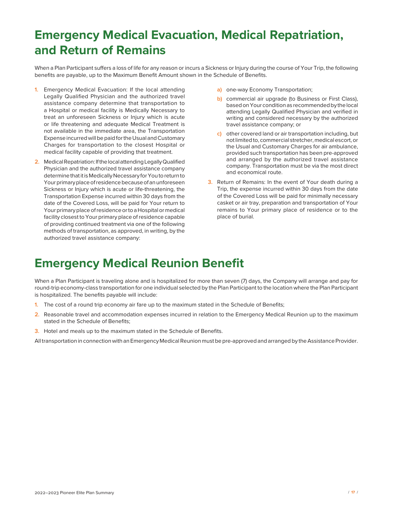# **Emergency Medical Evacuation, Medical Repatriation, and Return of Remains**

When a Plan Participant suffers a loss of life for any reason or incurs a Sickness or Injury during the course of Your Trip, the following benefits are payable, up to the Maximum Benefit Amount shown in the Schedule of Benefits.

- **1.** Emergency Medical Evacuation: If the local attending Legally Qualified Physician and the authorized travel assistance company determine that transportation to a Hospital or medical facility is Medically Necessary to treat an unforeseen Sickness or Injury which is acute or life threatening and adequate Medical Treatment is not available in the immediate area, the Transportation Expense incurred will be paid for the Usual and Customary Charges for transportation to the closest Hospital or medical facility capable of providing that treatment.
- **2.** Medical Repatriation: If the local attending Legally Qualified Physician and the authorized travel assistance company determine that it is Medically Necessary for You to return to Your primary place of residence because of an unforeseen Sickness or Injury which is acute or life-threatening, the Transportation Expense incurred within 30 days from the date of the Covered Loss, will be paid for Your return to Your primary place of residence or to a Hospital or medical facility closest to Your primary place of residence capable of providing continued treatment via one of the following methods of transportation, as approved, in writing, by the authorized travel assistance company:
- **a)** one-way Economy Transportation;
- **b)** commercial air upgrade (to Business or First Class), based on Your condition as recommended by the local attending Legally Qualified Physician and verified in writing and considered necessary by the authorized travel assistance company; or
- **c)** other covered land or air transportation including, but not limited to, commercial stretcher, medical escort, or the Usual and Customary Charges for air ambulance, provided such transportation has been pre-approved and arranged by the authorized travel assistance company. Transportation must be via the most direct and economical route.
- **3.** Return of Remains: In the event of Your death during a Trip, the expense incurred within 30 days from the date of the Covered Loss will be paid for minimally necessary casket or air tray, preparation and transportation of Your remains to Your primary place of residence or to the place of burial.

## **Emergency Medical Reunion Benefit**

When a Plan Participant is traveling alone and is hospitalized for more than seven (7) days, the Company will arrange and pay for round-trip economy-class transportation for one individual selected by the Plan Participant to the location where the Plan Participant is hospitalized. The benefits payable will include:

- **1.** The cost of a round trip economy air fare up to the maximum stated in the Schedule of Benefits;
- **2.** Reasonable travel and accommodation expenses incurred in relation to the Emergency Medical Reunion up to the maximum stated in the Schedule of Benefits;
- **3.** Hotel and meals up to the maximum stated in the Schedule of Benefits.

All transportation in connection with an Emergency Medical Reunion must be pre-approved and arranged by the Assistance Provider.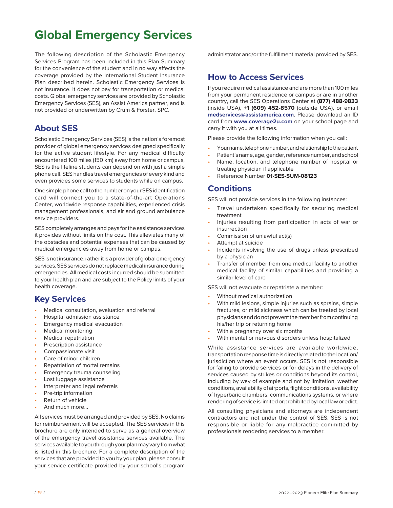# **Global Emergency Services**

The following description of the Scholastic Emergency Services Program has been included in this Plan Summary for the convenience of the student and in no way affects the coverage provided by the International Student Insurance Plan described herein. Scholastic Emergency Services is not insurance. It does not pay for transportation or medical costs. Global emergency services are provided by Scholastic Emergency Services (SES), an Assist America partner, and is not provided or underwritten by Crum & Forster, SPC.

### **About SES**

Scholastic Emergency Services (SES) is the nation's foremost provider of global emergency services designed specifically for the active student lifestyle. For any medical difficulty encountered 100 miles (150 km) away from home or campus, SES is the lifeline students can depend on with just a simple phone call. SES handles travel emergencies of every kind and even provides some services to students while on campus.

One simple phone call to the number on your SES identification card will connect you to a state-of-the-art Operations Center, worldwide response capabilities, experienced crisis management professionals, and air and ground ambulance service providers.

SES completely arranges and pays for the assistance services it provides without limits on the cost. This alleviates many of the obstacles and potential expenses that can be caused by medical emergencies away from home or campus.

SES is not insurance; rather it is a provider of global emergency services. SES services do not replace medical insurance during emergencies. All medical costs incurred should be submitted to your health plan and are subject to the Policy limits of your health coverage.

## **Key Services**

- **•** Medical consultation, evaluation and referral
- **•** Hospital admission assistance
- **•** Emergency medical evacuation
- **•** Medical monitoring
- **•** Medical repatriation
- **•** Prescription assistance
- **•** Compassionate visit
- **•** Care of minor children
- **•** Repatriation of mortal remains
- **•** Emergency trauma counseling
- **•** Lost luggage assistance
- **•** Interpreter and legal referrals
- **•** Pre-trip information
- **•** Return of vehicle
- **•** And much more...

All services must be arranged and provided by SES. No claims for reimbursement will be accepted. The SES services in this brochure are only intended to serve as a general overview of the emergency travel assistance services available. The services available to you through your plan may vary from what is listed in this brochure. For a complete description of the services that are provided to you by your plan, please consult your service certificate provided by your school's program

administrator and/or the fulfillment material provided by SES.

### **How to Access Services**

If you require medical assistance and are more than 100 miles from your permanent residence or campus or are in another country, call the SES Operations Center at **(877) 488-9833** (inside USA), **+1 (609) 452-8570** (outside USA), or email **medservices@assistamerica.com**. Please download an ID card from **www.coverage2u.com** on your school page and carry it with you at all times.

Please provide the following information when you call:

- **•** Your name, telephone number, and relationship to the patient
- **•** Patient's name, age, gender, reference number, and school
- **•** Name, location, and telephone number of hospital or treating physician if applicable
- **•** Reference Number **01-SES-SUM-08123**

### **Conditions**

SES will not provide services in the following instances:

- **•** Travel undertaken specifically for securing medical treatment
- **•** Injuries resulting from participation in acts of war or insurrection
- **•** Commission of unlawful act(s)
- **•** Attempt at suicide
- **•** Incidents involving the use of drugs unless prescribed by a physician
- **•** Transfer of member from one medical facility to another medical facility of similar capabilities and providing a similar level of care

SES will not evacuate or repatriate a member:

- **•** Without medical authorization
- **•** With mild lesions, simple injuries such as sprains, simple fractures, or mild sickness which can be treated by local physicians and do not prevent the member from continuing his/her trip or returning home
- **•** With a pregnancy over six months
- **•** With mental or nervous disorders unless hospitalized

While assistance services are available worldwide, transportation response time is directly related to the location/ jurisdiction where an event occurs. SES is not responsible for failing to provide services or for delays in the delivery of services caused by strikes or conditions beyond its control, including by way of example and not by limitation, weather conditions, availability of airports, flight conditions, availability of hyperbaric chambers, communications systems, or where rendering of service is limited or prohibited by local law or edict.

All consulting physicians and attorneys are independent contractors and not under the control of SES. SES is not responsible or liable for any malpractice committed by professionals rendering services to a member.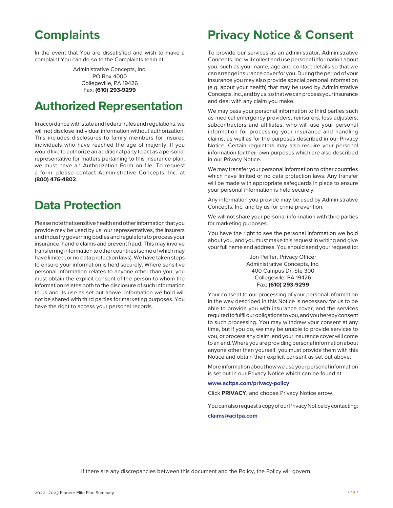# **Complaints**

In the event that You are dissatisfied and wish to make a complaint You can do so to the Complaints team at:

> Administrative Concepts, Inc. PO Box 4000 Collegeville, PA 19426 Fax: **(610) 293-9299**

# **Authorized Representation**

In accordance with state and federal rules and regulations, we will not disclose individual information without authorization. This includes disclosures to family members for insured individuals who have reached the age of majority. If you would like to authorize an additional party to act as a personal representative for matters pertaining to this insurance plan, we must have an Authorization Form on file. To request a form, please contact Administrative Concepts, Inc. at **(800) 476-4802**.

## **Data Protection**

Please note that sensitive health and other information that you provide may be used by us, our representatives, the insurers and industry governing bodies and regulators to process your insurance, handle claims and prevent fraud. This may involve transferring information to other countries (some of which may have limited, or no data protection laws). We have taken steps to ensure your information is held securely. Where sensitive personal information relates to anyone other than you, you must obtain the explicit consent of the person to whom the information relates both to the disclosure of such information to us and its use as set out above. Information we hold will not be shared with third parties for marketing purposes. You have the right to access your personal records.

## **Privacy Notice & Consent**

To provide our services as an administrator, Administrative Concepts, Inc. will collect and use personal information about you, such as your name, age and contact details so that we can arrange insurance cover for you. During the period of your insurance you may also provide special personal information (e.g. about your health) that may be used by Administrative Concepts, Inc., and by us, so that we can process your insurance and deal with any claim you make.

We may pass your personal information to third parties such as medical emergency providers, reinsurers, loss adjusters, subcontractors and affiliates, who will use your personal information for processing your insurance and handling claims, as well as for the purposes described in our Privacy Notice. Certain regulators may also require your personal information for their own purposes which are also described in our Privacy Notice.

We may transfer your personal information to other countries which have limited or no data protection laws. Any transfer will be made with appropriate safeguards in place to ensure your personal information is held securely.

Any information you provide may be used by Administrative Concepts, Inc. and by us for crime prevention.

We will not share your personal information with third parties for marketing purposes.

You have the right to see the personal information we hold about you, and you must make this request in writing and give your full name and address. You should send your request to:

> Jon Peiffer, Privacy Officer Administrative Concepts, Inc. 400 Campus Dr, Ste 300 Collegeville, PA 19426 Fax: **(610) 293-9299**

Your consent to our processing of your personal information in the way described in this Notice is necessary for us to be able to provide you with insurance cover, and the services required to fulfil our obligations to you, and you hereby consent to such processing. You may withdraw your consent at any time, but if you do, we may be unable to provide services to you, or process any claim, and your insurance cover will come to an end. Where you are providing personal information about anyone other than yourself, you must provide them with this Notice and obtain their explicit consent as set out above.

More information about how we use your personal information is set out in our Privacy Notice which can be found at:

#### **www.acitpa.com/privacy-policy**

Click **PRIVACY**, and choose Privacy Notice arrow.

You can also request a copy of our Privacy Notice by contacting: **claims@acitpa.com**

If there are any discrepancies between this document and the Policy, the Policy will govern.